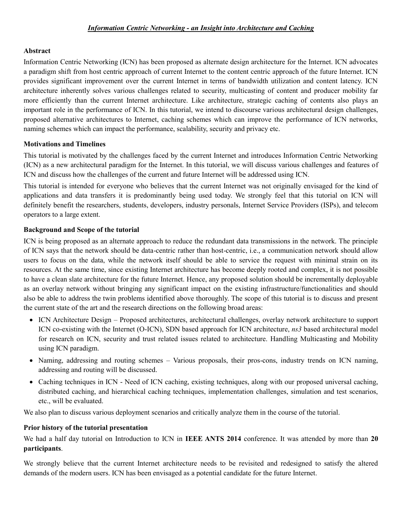# *Information Centric Networking - an Insight into Architecture and Caching*

## **Abstract**

Information Centric Networking (ICN) has been proposed as alternate design architecture for the Internet. ICN advocates a paradigm shift from host centric approach of current Internet to the content centric approach of the future Internet. ICN provides significant improvement over the current Internet in terms of bandwidth utilization and content latency. ICN architecture inherently solves various challenges related to security, multicasting of content and producer mobility far more efficiently than the current Internet architecture. Like architecture, strategic caching of contents also plays an important role in the performance of ICN. In this tutorial, we intend to discourse various architectural design challenges, proposed alternative architectures to Internet, caching schemes which can improve the performance of ICN networks, naming schemes which can impact the performance, scalability, security and privacy etc.

## **Motivations and Timelines**

This tutorial is motivated by the challenges faced by the current Internet and introduces Information Centric Networking (ICN) as a new architectural paradigm for the Internet. In this tutorial, we will discuss various challenges and features of ICN and discuss how the challenges of the current and future Internet will be addressed using ICN.

This tutorial is intended for everyone who believes that the current Internet was not originally envisaged for the kind of applications and data transfers it is predominantly being used today. We strongly feel that this tutorial on ICN will definitely benefit the researchers, students, developers, industry personals, Internet Service Providers (ISPs), and telecom operators to a large extent.

## **Background and Scope of the tutorial**

ICN is being proposed as an alternate approach to reduce the redundant data transmissions in the network. The principle of ICN says that the network should be data-centric rather than host-centric, i.e., a communication network should allow users to focus on the data, while the network itself should be able to service the request with minimal strain on its resources. At the same time, since existing Internet architecture has become deeply rooted and complex, it is not possible to have a clean slate architecture for the future Internet. Hence, any proposed solution should be incrementally deployable as an overlay network without bringing any significant impact on the existing infrastructure/functionalities and should also be able to address the twin problems identified above thoroughly. The scope of this tutorial is to discuss and present the current state of the art and the research directions on the following broad areas:

- ICN Architecture Design Proposed architectures, architectural challenges, overlay network architecture to support ICN co-existing with the Internet (O-ICN), SDN based approach for ICN architecture, *ns3* based architectural model for research on ICN, security and trust related issues related to architecture. Handling Multicasting and Mobility using ICN paradigm.
- Naming, addressing and routing schemes Various proposals, their pros-cons, industry trends on ICN naming, addressing and routing will be discussed.
- Caching techniques in ICN Need of ICN caching, existing techniques, along with our proposed universal caching, distributed caching, and hierarchical caching techniques, implementation challenges, simulation and test scenarios, etc., will be evaluated.

We also plan to discuss various deployment scenarios and critically analyze them in the course of the tutorial.

## **Prior history of the tutorial presentation**

We had a half day tutorial on Introduction to ICN in **IEEE ANTS 2014** conference. It was attended by more than **20 participants**.

We strongly believe that the current Internet architecture needs to be revisited and redesigned to satisfy the altered demands of the modern users. ICN has been envisaged as a potential candidate for the future Internet.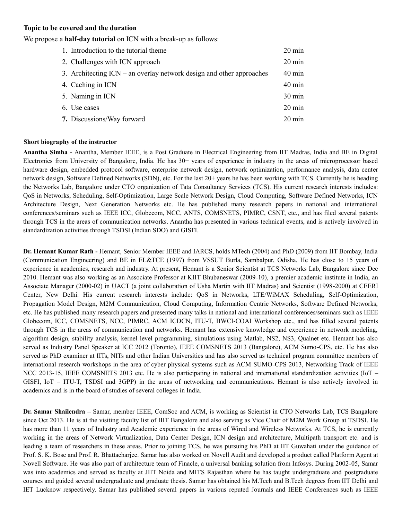#### **Topic to be covered and the duration**

We propose a **half-day tutorial** on ICN with a break-up as follows:

| 1. Introduction to the tutorial theme                                  | $20 \text{ min}$ |
|------------------------------------------------------------------------|------------------|
| 2. Challenges with ICN approach                                        | $20 \text{ min}$ |
| 3. Architecting $ICN$ – an overlay network design and other approaches | $40 \text{ min}$ |
| 4. Caching in ICN                                                      | $40 \text{ min}$ |
| 5. Naming in ICN                                                       | $30 \text{ min}$ |
| 6. Use cases                                                           | $20 \text{ min}$ |
| 7. Discussions/Way forward                                             | $20 \text{ min}$ |

#### **Short biography of the instructor**

**Anantha Simha -** Anantha, Member IEEE, is a Post Graduate in Electrical Engineering from IIT Madras, India and BE in Digital Electronics from University of Bangalore, India. He has 30+ years of experience in industry in the areas of microprocessor based hardware design, embedded protocol software, enterprise network design, network optimization, performance analysis, data center network design, Software Defined Networks (SDN), etc. For the last 20+ years he has been working with TCS. Currently he is heading the Networks Lab, Bangalore under CTO organization of Tata Consultancy Services (TCS). His current research interests includes: QoS in Networks, Scheduling, Self-Optimization, Large Scale Network Design, Cloud Computing, Software Defined Networks, ICN Architecture Design, Next Generation Networks etc. He has published many research papers in national and international conferences/seminars such as IEEE ICC, Globecom, NCC, ANTS, COMSNETS, PIMRC, CSNT, etc., and has filed several patents through TCS in the areas of communication networks. Anantha has presented in various technical events, and is actively involved in standardization activities through TSDSI (Indian SDO) and GISFI.

**Dr. Hemant Kumar Rath -** Hemant, Senior Member IEEE and IARCS, holds MTech (2004) and PhD (2009) from IIT Bombay, India (Communication Engineering) and BE in EL&TCE (1997) from VSSUT Burla, Sambalpur, Odisha. He has close to 15 years of experience in academics, research and industry. At present, Hemant is a Senior Scientist at TCS Networks Lab, Bangalore since Dec 2010. Hemant was also working as an Associate Professor at KIIT Bhubaneswar (2009-10), a premier academic institute in India, an Associate Manager (2000-02) in UACT (a joint collaboration of Usha Martin with IIT Madras) and Scientist (1998-2000) at CEERI Center, New Delhi. His current research interests include: QoS in Networks, LTE/WiMAX Scheduling, Self-Optimization, Propagation Model Design, M2M Communication, Cloud Computing, Information Centric Networks, Software Defined Networks, etc. He has published many research papers and presented many talks in national and international conferences/seminars such as IEEE Globecom, ICC, COMSNETS, NCC, PIMRC, ACM ICDCN, ITU-T, BWCI-COAI Workshop etc., and has filled several patents through TCS in the areas of communication and networks. Hemant has extensive knowledge and experience in network modeling, algorithm design, stability analysis, kernel level programming, simulations using Matlab, NS2, NS3, Qualnet etc. Hemant has also served as Industry Panel Speaker at ICC 2012 (Toronto), IEEE COMSNETS 2013 (Bangalore), ACM Sumo-CPS, etc. He has also served as PhD examiner at IITs, NITs and other Indian Universities and has also served as technical program committee members of international research workshops in the area of cyber physical systems such as ACM SUMO-CPS 2013, Networking Track of IEEE NCC 2013-15, IEEE COMSNETS 2013 etc. He is also participating in national and international standardization activities (IoT – GISFI, IoT – ITU-T, TSDSI and 3GPP) in the areas of networking and communications. Hemant is also actively involved in academics and is in the board of studies of several colleges in India.

**Dr. Samar Shailendra –** Samar, member IEEE, ComSoc and ACM, is working as Scientist in CTO Networks Lab, TCS Bangalore since Oct 2013. He is at the visiting faculty list of IIIT Bangalore and also serving as Vice Chair of M2M Work Group at TSDSI. He has more than 11 years of Industry and Academic experience in the areas of Wired and Wireless Networks. At TCS, he is currently working in the areas of Network Virtualization, Data Center Design, ICN design and architecture, Multipath transport etc. and is leading a team of researchers in these areas. Prior to joining TCS, he was pursuing his PhD at IIT Guwahati under the guidance of Prof. S. K. Bose and Prof. R. Bhattacharjee. Samar has also worked on Novell Audit and developed a product called Platform Agent at Novell Software. He was also part of architecture team of Finacle, a universal banking solution from Infosys. During 2002-05, Samar was into academics and served as faculty at JIIT Noida and MITS Rajasthan where he has taught undergraduate and postgraduate courses and guided several undergraduate and graduate thesis. Samar has obtained his M.Tech and B.Tech degrees from IIT Delhi and IET Lucknow respectively. Samar has published several papers in various reputed Journals and IEEE Conferences such as IEEE